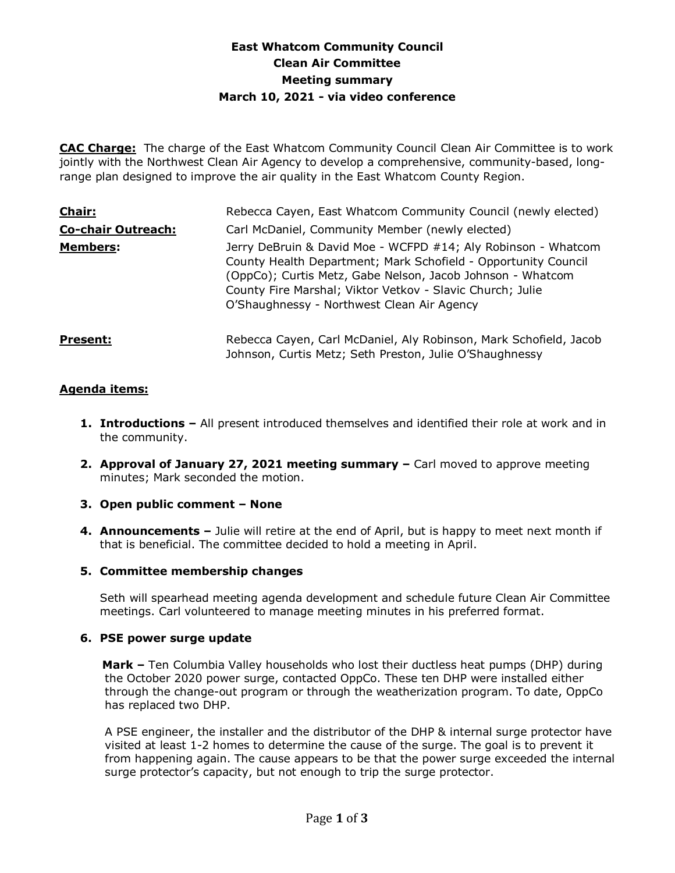# **East Whatcom Community Council Clean Air Committee Meeting summary March 10, 2021 - via video conference**

**CAC Charge:** The charge of the East Whatcom Community Council Clean Air Committee is to work jointly with the Northwest Clean Air Agency to develop a comprehensive, community-based, longrange plan designed to improve the air quality in the East Whatcom County Region.

| Chair:                    | Rebecca Cayen, East Whatcom Community Council (newly elected)                                                                                                                                                                                                                                            |
|---------------------------|----------------------------------------------------------------------------------------------------------------------------------------------------------------------------------------------------------------------------------------------------------------------------------------------------------|
| <b>Co-chair Outreach:</b> | Carl McDaniel, Community Member (newly elected)                                                                                                                                                                                                                                                          |
| <b>Members:</b>           | Jerry DeBruin & David Moe - WCFPD #14; Aly Robinson - Whatcom<br>County Health Department; Mark Schofield - Opportunity Council<br>(OppCo); Curtis Metz, Gabe Nelson, Jacob Johnson - Whatcom<br>County Fire Marshal; Viktor Vetkov - Slavic Church; Julie<br>O'Shaughnessy - Northwest Clean Air Agency |
| <b>Present:</b>           | Rebecca Cayen, Carl McDaniel, Aly Robinson, Mark Schofield, Jacob<br>Johnson, Curtis Metz; Seth Preston, Julie O'Shaughnessy                                                                                                                                                                             |

# **Agenda items:**

- **1. Introductions –** All present introduced themselves and identified their role at work and in the community.
- **2. Approval of January 27, 2021 meeting summary –** Carl moved to approve meeting minutes; Mark seconded the motion.

### **3. Open public comment – None**

**4. Announcements –** Julie will retire at the end of April, but is happy to meet next month if that is beneficial. The committee decided to hold a meeting in April.

### **5. Committee membership changes**

Seth will spearhead meeting agenda development and schedule future Clean Air Committee meetings. Carl volunteered to manage meeting minutes in his preferred format.

### **6. PSE power surge update**

 **Mark –** Ten Columbia Valley households who lost their ductless heat pumps (DHP) during the October 2020 power surge, contacted OppCo. These ten DHP were installed either through the change-out program or through the weatherization program. To date, OppCo has replaced two DHP.

A PSE engineer, the installer and the distributor of the DHP & internal surge protector have visited at least 1-2 homes to determine the cause of the surge. The goal is to prevent it from happening again. The cause appears to be that the power surge exceeded the internal surge protector's capacity, but not enough to trip the surge protector.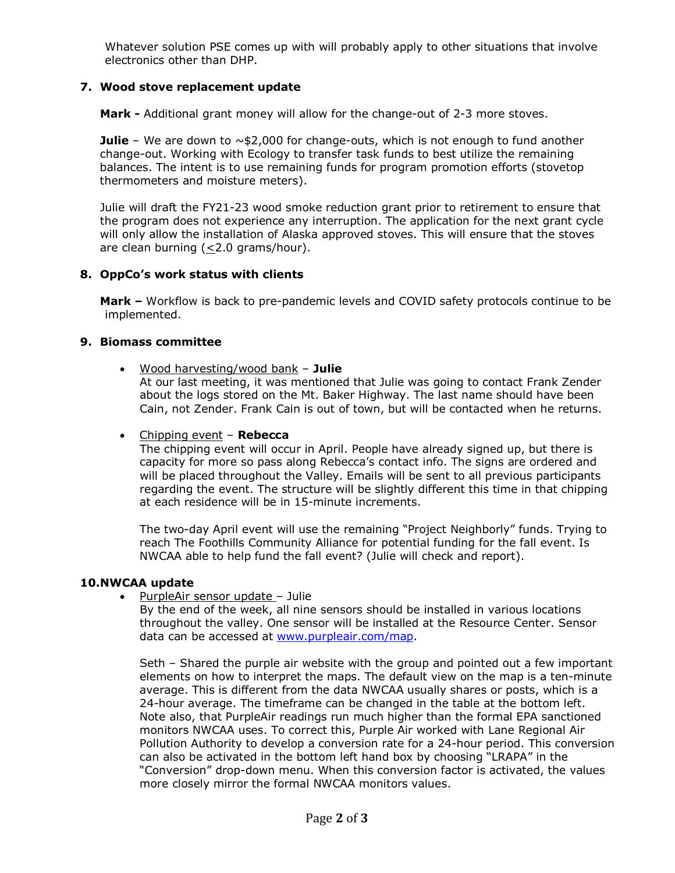Whatever solution PSE comes up with will probably apply to other situations that involve electronics other than DHP.

# **7. Wood stove replacement update**

**Mark -** Additional grant money will allow for the change-out of 2-3 more stoves.

**Julie** – We are down to  $\sim$ \$2,000 for change-outs, which is not enough to fund another change-out. Working with Ecology to transfer task funds to best utilize the remaining balances. The intent is to use remaining funds for program promotion efforts (stovetop thermometers and moisture meters).

Julie will draft the FY21-23 wood smoke reduction grant prior to retirement to ensure that the program does not experience any interruption. The application for the next grant cycle will only allow the installation of Alaska approved stoves. This will ensure that the stoves are clean burning  $(\leq 2.0 \text{ grams/hour}).$ 

# **8. OppCo's work status with clients**

**Mark –** Workflow is back to pre-pandemic levels and COVID safety protocols continue to be implemented.

# **9. Biomass committee**

• Wood harvesting/wood bank – **Julie**

At our last meeting, it was mentioned that Julie was going to contact Frank Zender about the logs stored on the Mt. Baker Highway. The last name should have been Cain, not Zender. Frank Cain is out of town, but will be contacted when he returns.

### • Chipping event – **Rebecca**

The chipping event will occur in April. People have already signed up, but there is capacity for more so pass along Rebecca's contact info. The signs are ordered and will be placed throughout the Valley. Emails will be sent to all previous participants regarding the event. The structure will be slightly different this time in that chipping at each residence will be in 15-minute increments.

The two-day April event will use the remaining "Project Neighborly" funds. Trying to reach The Foothills Community Alliance for potential funding for the fall event. Is NWCAA able to help fund the fall event? (Julie will check and report).

# **10.NWCAA update**

• PurpleAir sensor update – Julie

By the end of the week, all nine sensors should be installed in various locations throughout the valley. One sensor will be installed at the Resource Center. Sensor data can be accessed at [www.purpleair.com/map.](http://www.purpleair.com/map)

Seth – Shared the purple air website with the group and pointed out a few important elements on how to interpret the maps. The default view on the map is a ten-minute average. This is different from the data NWCAA usually shares or posts, which is a 24-hour average. The timeframe can be changed in the table at the bottom left. Note also, that PurpleAir readings run much higher than the formal EPA sanctioned monitors NWCAA uses. To correct this, Purple Air worked with Lane Regional Air Pollution Authority to develop a conversion rate for a 24-hour period. This conversion can also be activated in the bottom left hand box by choosing "LRAPA" in the "Conversion" drop-down menu. When this conversion factor is activated, the values more closely mirror the formal NWCAA monitors values.